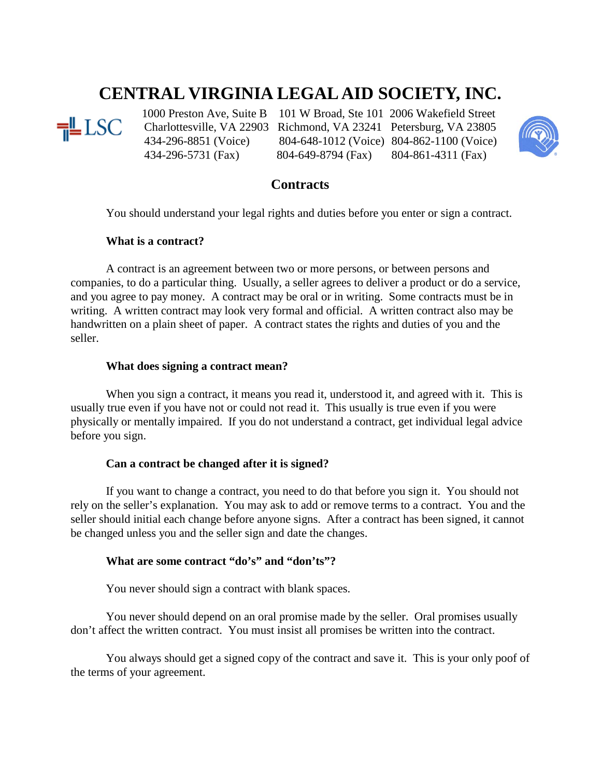# **CENTRAL VIRGINIA LEGAL AID SOCIETY, INC.**



 Charlottesville, VA 22903 Richmond, VA 23241 Petersburg, VA 23805 434-296-8851 (Voice) 804-648-1012 (Voice) 804-862-1100 (Voice)

1000 Preston Ave, Suite B 101 W Broad, Ste 101 2006 Wakefield Street<br>
LSC Charlottesville, VA 22903 Richmond, VA 23241 Petersburg, VA 23805 434-296-5731 (Fax) 804-649-8794 (Fax) 804-861-4311 (Fax)



## **Contracts**

You should understand your legal rights and duties before you enter or sign a contract.

## **What is a contract?**

A contract is an agreement between two or more persons, or between persons and companies, to do a particular thing. Usually, a seller agrees to deliver a product or do a service, and you agree to pay money. A contract may be oral or in writing. Some contracts must be in writing. A written contract may look very formal and official. A written contract also may be handwritten on a plain sheet of paper. A contract states the rights and duties of you and the seller.

## **What does signing a contract mean?**

When you sign a contract, it means you read it, understood it, and agreed with it. This is usually true even if you have not or could not read it. This usually is true even if you were physically or mentally impaired. If you do not understand a contract, get individual legal advice before you sign.

## **Can a contract be changed after it is signed?**

If you want to change a contract, you need to do that before you sign it. You should not rely on the seller's explanation. You may ask to add or remove terms to a contract. You and the seller should initial each change before anyone signs. After a contract has been signed, it cannot be changed unless you and the seller sign and date the changes.

#### **What are some contract "do's" and "don'ts"?**

You never should sign a contract with blank spaces.

You never should depend on an oral promise made by the seller. Oral promises usually don't affect the written contract. You must insist all promises be written into the contract.

You always should get a signed copy of the contract and save it. This is your only poof of the terms of your agreement.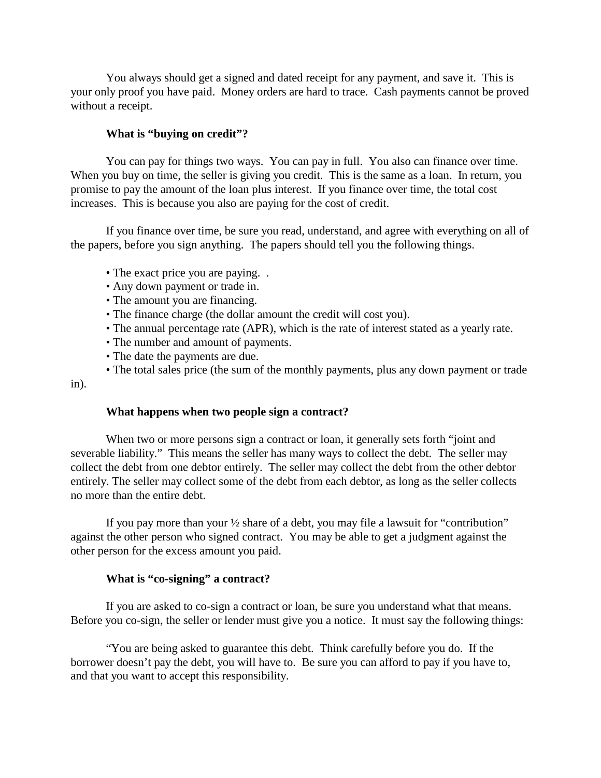You always should get a signed and dated receipt for any payment, and save it. This is your only proof you have paid. Money orders are hard to trace. Cash payments cannot be proved without a receipt.

#### **What is "buying on credit"?**

You can pay for things two ways. You can pay in full. You also can finance over time. When you buy on time, the seller is giving you credit. This is the same as a loan. In return, you promise to pay the amount of the loan plus interest. If you finance over time, the total cost increases. This is because you also are paying for the cost of credit.

If you finance over time, be sure you read, understand, and agree with everything on all of the papers, before you sign anything. The papers should tell you the following things.

- The exact price you are paying. .
- Any down payment or trade in.
- The amount you are financing.
- The finance charge (the dollar amount the credit will cost you).
- The annual percentage rate (APR), which is the rate of interest stated as a yearly rate.
- The number and amount of payments.
- The date the payments are due.
- The total sales price (the sum of the monthly payments, plus any down payment or trade

in).

#### **What happens when two people sign a contract?**

When two or more persons sign a contract or loan, it generally sets forth "joint and severable liability." This means the seller has many ways to collect the debt. The seller may collect the debt from one debtor entirely. The seller may collect the debt from the other debtor entirely. The seller may collect some of the debt from each debtor, as long as the seller collects no more than the entire debt.

If you pay more than your ½ share of a debt, you may file a lawsuit for "contribution" against the other person who signed contract. You may be able to get a judgment against the other person for the excess amount you paid.

#### **What is "co-signing" a contract?**

If you are asked to co-sign a contract or loan, be sure you understand what that means. Before you co-sign, the seller or lender must give you a notice. It must say the following things:

"You are being asked to guarantee this debt. Think carefully before you do. If the borrower doesn't pay the debt, you will have to. Be sure you can afford to pay if you have to, and that you want to accept this responsibility.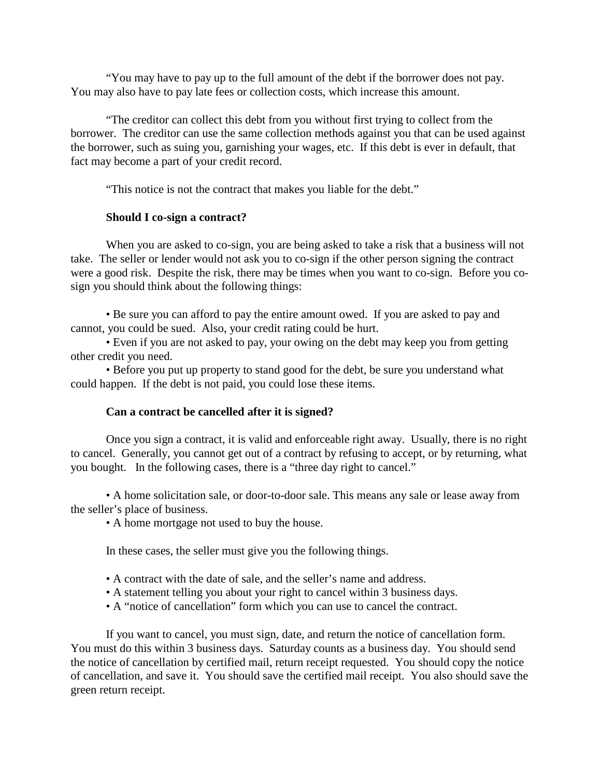"You may have to pay up to the full amount of the debt if the borrower does not pay. You may also have to pay late fees or collection costs, which increase this amount.

"The creditor can collect this debt from you without first trying to collect from the borrower. The creditor can use the same collection methods against you that can be used against the borrower, such as suing you, garnishing your wages, etc. If this debt is ever in default, that fact may become a part of your credit record.

"This notice is not the contract that makes you liable for the debt."

#### **Should I co-sign a contract?**

When you are asked to co-sign, you are being asked to take a risk that a business will not take. The seller or lender would not ask you to co-sign if the other person signing the contract were a good risk. Despite the risk, there may be times when you want to co-sign. Before you cosign you should think about the following things:

• Be sure you can afford to pay the entire amount owed. If you are asked to pay and cannot, you could be sued. Also, your credit rating could be hurt.

• Even if you are not asked to pay, your owing on the debt may keep you from getting other credit you need.

• Before you put up property to stand good for the debt, be sure you understand what could happen. If the debt is not paid, you could lose these items.

#### **Can a contract be cancelled after it is signed?**

Once you sign a contract, it is valid and enforceable right away. Usually, there is no right to cancel. Generally, you cannot get out of a contract by refusing to accept, or by returning, what you bought. In the following cases, there is a "three day right to cancel."

• A home solicitation sale, or door-to-door sale. This means any sale or lease away from the seller's place of business.

• A home mortgage not used to buy the house.

In these cases, the seller must give you the following things.

- A contract with the date of sale, and the seller's name and address.
- A statement telling you about your right to cancel within 3 business days.
- A "notice of cancellation" form which you can use to cancel the contract.

If you want to cancel, you must sign, date, and return the notice of cancellation form. You must do this within 3 business days. Saturday counts as a business day. You should send the notice of cancellation by certified mail, return receipt requested. You should copy the notice of cancellation, and save it. You should save the certified mail receipt. You also should save the green return receipt.